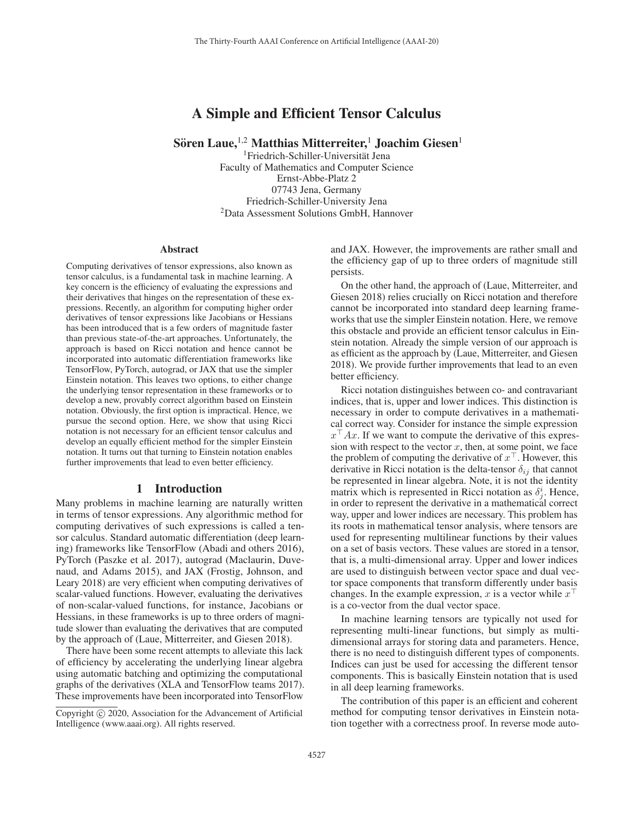# A Simple and Efficient Tensor Calculus

Sören Laue, <sup>1,2</sup> Matthias Mitterreiter,<sup>1</sup> Joachim Giesen<sup>1</sup>

<sup>1</sup>Friedrich-Schiller-Universität Jena Faculty of Mathematics and Computer Science Ernst-Abbe-Platz 2 07743 Jena, Germany Friedrich-Schiller-University Jena 2Data Assessment Solutions GmbH, Hannover

#### Abstract

Computing derivatives of tensor expressions, also known as tensor calculus, is a fundamental task in machine learning. A key concern is the efficiency of evaluating the expressions and their derivatives that hinges on the representation of these expressions. Recently, an algorithm for computing higher order derivatives of tensor expressions like Jacobians or Hessians has been introduced that is a few orders of magnitude faster than previous state-of-the-art approaches. Unfortunately, the approach is based on Ricci notation and hence cannot be incorporated into automatic differentiation frameworks like TensorFlow, PyTorch, autograd, or JAX that use the simpler Einstein notation. This leaves two options, to either change the underlying tensor representation in these frameworks or to develop a new, provably correct algorithm based on Einstein notation. Obviously, the first option is impractical. Hence, we pursue the second option. Here, we show that using Ricci notation is not necessary for an efficient tensor calculus and develop an equally efficient method for the simpler Einstein notation. It turns out that turning to Einstein notation enables further improvements that lead to even better efficiency.

### 1 Introduction

Many problems in machine learning are naturally written in terms of tensor expressions. Any algorithmic method for computing derivatives of such expressions is called a tensor calculus. Standard automatic differentiation (deep learning) frameworks like TensorFlow (Abadi and others 2016), PyTorch (Paszke et al. 2017), autograd (Maclaurin, Duvenaud, and Adams 2015), and JAX (Frostig, Johnson, and Leary 2018) are very efficient when computing derivatives of scalar-valued functions. However, evaluating the derivatives of non-scalar-valued functions, for instance, Jacobians or Hessians, in these frameworks is up to three orders of magnitude slower than evaluating the derivatives that are computed by the approach of (Laue, Mitterreiter, and Giesen 2018).

There have been some recent attempts to alleviate this lack of efficiency by accelerating the underlying linear algebra using automatic batching and optimizing the computational graphs of the derivatives (XLA and TensorFlow teams 2017). These improvements have been incorporated into TensorFlow

and JAX. However, the improvements are rather small and the efficiency gap of up to three orders of magnitude still persists.

On the other hand, the approach of (Laue, Mitterreiter, and Giesen 2018) relies crucially on Ricci notation and therefore cannot be incorporated into standard deep learning frameworks that use the simpler Einstein notation. Here, we remove this obstacle and provide an efficient tensor calculus in Einstein notation. Already the simple version of our approach is as efficient as the approach by (Laue, Mitterreiter, and Giesen 2018). We provide further improvements that lead to an even better efficiency.

Ricci notation distinguishes between co- and contravariant indices, that is, upper and lower indices. This distinction is necessary in order to compute derivatives in a mathematical correct way. Consider for instance the simple expression  $x^{\perp} Ax$ . If we want to compute the derivative of this expres-<br>sion with respect to the vector x then at some point we face sion with respect to the vector  $x$ , then, at some point, we face the problem of computing the derivative of  $x^{\perp}$ . However, this derivative in Ricci notation is the delta-tensor  $\delta_{ij}$  that cannot derivative in Ricci notation is the delta-tensor  $\delta_{ij}$  that cannot be represented in linear algebra. Note, it is not the identity matrix which is represented in Ricci notation as  $\delta_j^i$ . Hence, in order to represent the derivative in a mathematical correct in order to represent the derivative in a mathematical correct way, upper and lower indices are necessary. This problem has its roots in mathematical tensor analysis, where tensors are used for representing multilinear functions by their values on a set of basis vectors. These values are stored in a tensor, that is, a multi-dimensional array. Upper and lower indices are used to distinguish between vector space and dual vector space components that transform differently under basis changes. In the example expression, x is a vector while  $x^{\perp}$ <br>is a co-vector from the dual vector space is a co-vector from the dual vector space.

In machine learning tensors are typically not used for representing multi-linear functions, but simply as multidimensional arrays for storing data and parameters. Hence, there is no need to distinguish different types of components. Indices can just be used for accessing the different tensor components. This is basically Einstein notation that is used in all deep learning frameworks.

The contribution of this paper is an efficient and coherent method for computing tensor derivatives in Einstein notation together with a correctness proof. In reverse mode auto-

Copyright  $\odot$  2020, Association for the Advancement of Artificial Intelligence (www.aaai.org). All rights reserved.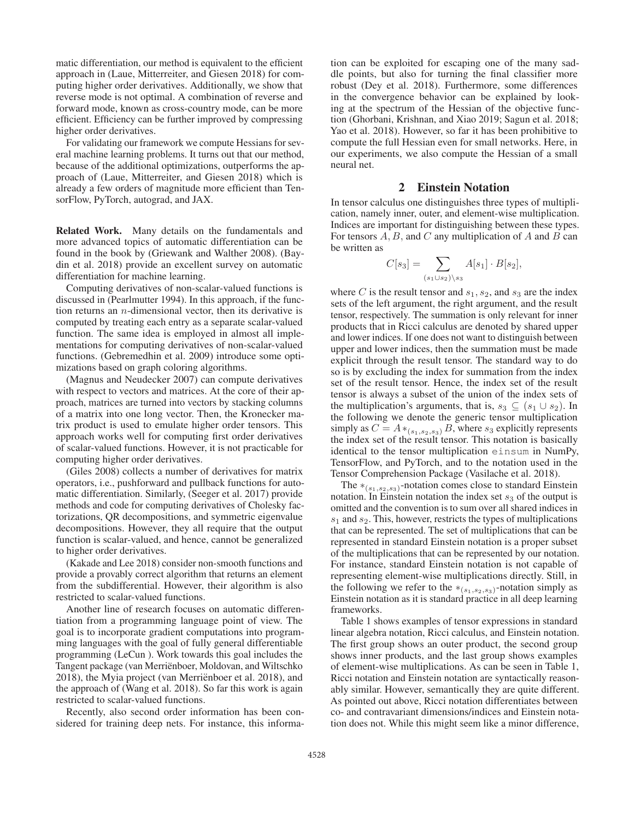matic differentiation, our method is equivalent to the efficient approach in (Laue, Mitterreiter, and Giesen 2018) for computing higher order derivatives. Additionally, we show that reverse mode is not optimal. A combination of reverse and forward mode, known as cross-country mode, can be more efficient. Efficiency can be further improved by compressing higher order derivatives.

For validating our framework we compute Hessians for several machine learning problems. It turns out that our method, because of the additional optimizations, outperforms the approach of (Laue, Mitterreiter, and Giesen 2018) which is already a few orders of magnitude more efficient than TensorFlow, PyTorch, autograd, and JAX.

Related Work. Many details on the fundamentals and more advanced topics of automatic differentiation can be found in the book by (Griewank and Walther 2008). (Baydin et al. 2018) provide an excellent survey on automatic differentiation for machine learning.

Computing derivatives of non-scalar-valued functions is discussed in (Pearlmutter 1994). In this approach, if the function returns an n-dimensional vector, then its derivative is computed by treating each entry as a separate scalar-valued function. The same idea is employed in almost all implementations for computing derivatives of non-scalar-valued functions. (Gebremedhin et al. 2009) introduce some optimizations based on graph coloring algorithms.

(Magnus and Neudecker 2007) can compute derivatives with respect to vectors and matrices. At the core of their approach, matrices are turned into vectors by stacking columns of a matrix into one long vector. Then, the Kronecker matrix product is used to emulate higher order tensors. This approach works well for computing first order derivatives of scalar-valued functions. However, it is not practicable for computing higher order derivatives.

(Giles 2008) collects a number of derivatives for matrix operators, i.e., pushforward and pullback functions for automatic differentiation. Similarly, (Seeger et al. 2017) provide methods and code for computing derivatives of Cholesky factorizations, QR decompositions, and symmetric eigenvalue decompositions. However, they all require that the output function is scalar-valued, and hence, cannot be generalized to higher order derivatives.

(Kakade and Lee 2018) consider non-smooth functions and provide a provably correct algorithm that returns an element from the subdifferential. However, their algorithm is also restricted to scalar-valued functions.

Another line of research focuses on automatic differentiation from a programming language point of view. The goal is to incorporate gradient computations into programming languages with the goal of fully general differentiable programming (LeCun ). Work towards this goal includes the Tangent package (van Merriënboer, Moldovan, and Wiltschko 2018), the Myia project (van Merriënboer et al. 2018), and the approach of (Wang et al. 2018). So far this work is again restricted to scalar-valued functions.

Recently, also second order information has been considered for training deep nets. For instance, this informa-

tion can be exploited for escaping one of the many saddle points, but also for turning the final classifier more robust (Dey et al. 2018). Furthermore, some differences in the convergence behavior can be explained by looking at the spectrum of the Hessian of the objective function (Ghorbani, Krishnan, and Xiao 2019; Sagun et al. 2018; Yao et al. 2018). However, so far it has been prohibitive to compute the full Hessian even for small networks. Here, in our experiments, we also compute the Hessian of a small neural net.

## 2 Einstein Notation

In tensor calculus one distinguishes three types of multiplication, namely inner, outer, and element-wise multiplication. Indices are important for distinguishing between these types. For tensors  $A, B$ , and  $C$  any multiplication of  $A$  and  $B$  can be written as

$$
C[s_3] = \sum_{(s_1 \cup s_2) \setminus s_3} A[s_1] \cdot B[s_2],
$$

where C is the result tensor and  $s_1, s_2$ , and  $s_3$  are the index sets of the left argument, the right argument, and the result tensor, respectively. The summation is only relevant for inner products that in Ricci calculus are denoted by shared upper and lower indices. If one does not want to distinguish between upper and lower indices, then the summation must be made explicit through the result tensor. The standard way to do so is by excluding the index for summation from the index set of the result tensor. Hence, the index set of the result tensor is always a subset of the union of the index sets of the multiplication's arguments, that is,  $s_3 \subseteq (s_1 \cup s_2)$ . In the following we denote the generic tensor multiplication simply as  $C = A *_{(s_1,s_2,s_3)} B$ , where  $s_3$  explicitly represents the index set of the result tensor. This notation is basically identical to the tensor multiplication einsum in NumPy, TensorFlow, and PyTorch, and to the notation used in the Tensor Comprehension Package (Vasilache et al. 2018).

The  $\ast_{(s_1,s_2,s_3)}$ -notation comes close to standard Einstein notation. In Einstein notation the index set  $s_3$  of the output is omitted and the convention is to sum over all shared indices in  $s_1$  and  $s_2$ . This, however, restricts the types of multiplications that can be represented. The set of multiplications that can be represented in standard Einstein notation is a proper subset of the multiplications that can be represented by our notation. For instance, standard Einstein notation is not capable of representing element-wise multiplications directly. Still, in the following we refer to the  $*(s_1,s_2,s_3)$ -notation simply as Einstein notation as it is standard practice in all deep learning frameworks.

Table 1 shows examples of tensor expressions in standard linear algebra notation, Ricci calculus, and Einstein notation. The first group shows an outer product, the second group shows inner products, and the last group shows examples of element-wise multiplications. As can be seen in Table 1, Ricci notation and Einstein notation are syntactically reasonably similar. However, semantically they are quite different. As pointed out above, Ricci notation differentiates between co- and contravariant dimensions/indices and Einstein notation does not. While this might seem like a minor difference,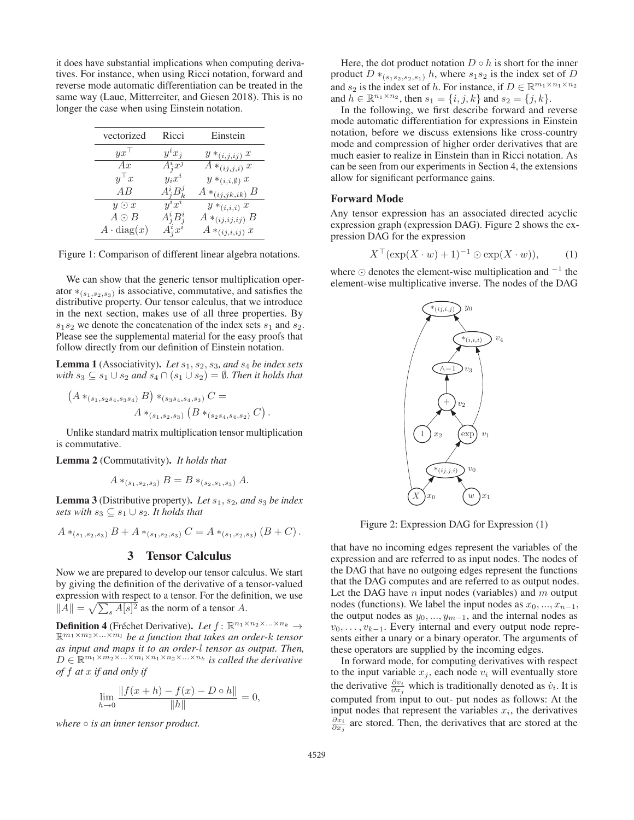it does have substantial implications when computing derivatives. For instance, when using Ricci notation, forward and reverse mode automatic differentiation can be treated in the same way (Laue, Mitterreiter, and Giesen 2018). This is no longer the case when using Einstein notation.

| vectorized        | Ricci                                                   | Einstein                  |
|-------------------|---------------------------------------------------------|---------------------------|
| $yx^{\top}$       | $y^i x_i$                                               | $y *_{(i,j,ij)} x$        |
| Ax                | $A_i^i x^j$                                             | $A *_{(ij,j,i)} x$        |
| $y^{\top}x$       | $y_ix^i$                                                | $y *_{(i,i,\emptyset)} x$ |
| AB                | $A_i^i B_k^j$                                           | $A *_{(ij,jk,ik)} B$      |
| $y \odot x$       | $y^ix^i$                                                | $y *_{(i,i,i)} x$         |
| $A \odot B$       |                                                         | $A *_{(ij,ij,ij)} B$      |
| $A \cdot diag(x)$ | $\begin{array}{c} A^i_j B^i_j \\ A^i_j x^i \end{array}$ | $A *_{(ij,i,ij)} x$       |

Figure 1: Comparison of different linear algebra notations.

We can show that the generic tensor multiplication operator  $*(s_1, s_2, s_3)$  is associative, commutative, and satisfies the distributive property. Our tensor calculus, that we introduce in the next section, makes use of all three properties. By  $s_1s_2$  we denote the concatenation of the index sets  $s_1$  and  $s_2$ . Please see the supplemental material for the easy proofs that follow directly from our definition of Einstein notation.

Lemma 1 (Associativity). *Let*  $s_1$ ,  $s_2$ ,  $s_3$ , and  $s_4$  *be index sets with*  $s_3$  ⊆  $s_1$  ∪  $s_2$  *and*  $s_4$  ∩  $(s_1 \cup s_2) = \emptyset$ *. Then it holds that* 

$$
A *_{(s_1, s_2s_4, s_3s_4)} B) *_{(s_3s_4, s_4, s_3)} C =
$$
  

$$
A *_{(s_1, s_2, s_3)} (B *_{(s_2s_4, s_4, s_2)} C).
$$

Unlike standard matrix multiplication tensor multiplication is commutative.

Lemma 2 (Commutativity). *It holds that*

 $\left($ 

$$
A *_{(s_1, s_2, s_3)} B = B *_{(s_2, s_1, s_3)} A.
$$

Lemma 3 (Distributive property). *Let*  $s_1$ ,  $s_2$ , and  $s_3$  *be index sets with*  $s_3 \subseteq s_1 \cup s_2$ *. It holds that* 

$$
A *_{(s_1,s_2,s_3)} B + A *_{(s_1,s_2,s_3)} C = A *_{(s_1,s_2,s_3)} (B+C).
$$

# 3 Tensor Calculus

Now we are prepared to develop our tensor calculus. We start by giving the definition of the derivative of a tensor-valued expression with respect to a tensor. For the definition, we use  $||A|| = \sqrt{\sum_s A[s]^2}$  as the norm of a tensor A.

**Definition 4** (Fréchet Derivative). Let  $f: \mathbb{R}^{n_1 \times n_2 \times \ldots \times n_k}$ <sup>R</sup><sup>m</sup>1×m2×...×m*<sup>l</sup> be a function that takes an order-*k *tensor as input and maps it to an order-*l *tensor as output. Then,*  $D \in \mathbb{R}^{m_1 \times m_2 \times \ldots \times m_l \times n_1 \times n_2 \times \ldots \times n_k}$  *is called the derivative of* f *at* x *if and only if*

$$
\lim_{h \to 0} \frac{\|f(x+h) - f(x) - D \circ h\|}{\|h\|} = 0,
$$

*where*  $\circ$  *is an inner tensor product.* 

Here, the dot product notation  $D \circ h$  is short for the inner product  $D *_{(s_1,s_2,s_3,s_1)} h$ , where  $s_1s_2$  is the index set of D and  $s_2$  is the index set of h. For instance, if  $D \in \mathbb{R}^{m_1 \times n_1 \times n_2}$ and  $h \in \mathbb{R}^{n_1 \times n_2}$ , then  $s_1 = \{i, j, k\}$  and  $s_2 = \{j, k\}$ .

In the following, we first describe forward and reverse mode automatic differentiation for expressions in Einstein notation, before we discuss extensions like cross-country mode and compression of higher order derivatives that are much easier to realize in Einstein than in Ricci notation. As can be seen from our experiments in Section 4, the extensions allow for significant performance gains.

#### Forward Mode

Any tensor expression has an associated directed acyclic expression graph (expression DAG). Figure 2 shows the expression DAG for the expression

$$
X^{\top}(\exp(X \cdot w) + 1)^{-1} \odot \exp(X \cdot w)), \qquad (1)
$$

where  $\odot$  denotes the element-wise multiplication and  $^{-1}$  the element-wise multiplicative inverse. The nodes of the DAG



Figure 2: Expression DAG for Expression (1)

that have no incoming edges represent the variables of the expression and are referred to as input nodes. The nodes of the DAG that have no outgoing edges represent the functions that the DAG computes and are referred to as output nodes. Let the DAG have  $n$  input nodes (variables) and  $m$  output nodes (functions). We label the input nodes as  $x_0, ..., x_{n-1}$ , the output nodes as  $y_0, ..., y_{m-1}$ , and the internal nodes as  $v_0, \ldots, v_{k-1}$ . Every internal and every output node represents either a unary or a binary operator. The arguments of these operators are supplied by the incoming edges.

In forward mode, for computing derivatives with respect to the input variable  $x_j$ , each node  $v_i$  will eventually store the derivative  $\frac{\partial v_i}{\partial x_j}$  which is traditionally denoted as  $\dot{v}_i$ . It is computed from input to out, put podes as follows: At the computed from input to out- put nodes as follows: At the input nodes that represent the variables  $x_i$ , the derivatives ∂x*<sup>i</sup>* ∂x*<sup>j</sup>* are stored. Then, the derivatives that are stored at the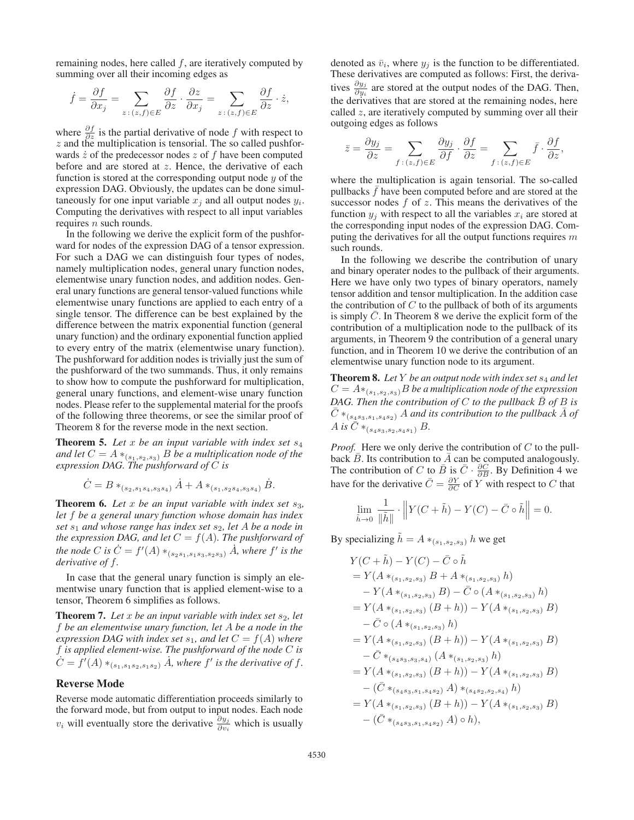remaining nodes, here called  $f$ , are iteratively computed by summing over all their incoming edges as

$$
\dot{f} = \frac{\partial f}{\partial x_j} = \sum_{z \,:\, (z,f) \in E} \frac{\partial f}{\partial z} \cdot \frac{\partial z}{\partial x_j} = \sum_{z \,:\, (z,f) \in E} \frac{\partial f}{\partial z} \cdot \dot{z},
$$

where  $\frac{\partial f}{\partial z}$  is the partial derivative of node f with respect to z and the multiplication is tensorial. The so called pushfor $z$  and the multiplication is tensorial. The so called pushforwards  $\dot{z}$  of the predecessor nodes  $z$  of f have been computed before and are stored at z. Hence, the derivative of each function is stored at the corresponding output node  $y$  of the expression DAG. Obviously, the updates can be done simultaneously for one input variable  $x_i$  and all output nodes  $y_i$ . Computing the derivatives with respect to all input variables requires  $n$  such rounds.

In the following we derive the explicit form of the pushforward for nodes of the expression DAG of a tensor expression. For such a DAG we can distinguish four types of nodes, namely multiplication nodes, general unary function nodes, elementwise unary function nodes, and addition nodes. General unary functions are general tensor-valued functions while elementwise unary functions are applied to each entry of a single tensor. The difference can be best explained by the difference between the matrix exponential function (general unary function) and the ordinary exponential function applied to every entry of the matrix (elementwise unary function). The pushforward for addition nodes is trivially just the sum of the pushforward of the two summands. Thus, it only remains to show how to compute the pushforward for multiplication, general unary functions, and element-wise unary function nodes. Please refer to the supplemental material for the proofs of the following three theorems, or see the similar proof of Theorem 8 for the reverse mode in the next section.

Theorem 5. *Let* <sup>x</sup> *be an input variable with index set* <sup>s</sup><sup>4</sup> *and let*  $C = A *_{(s_1, s_2, s_3)} B$  *be a multiplication node of the expression DAG. The pushforward of* C *is*

$$
\dot{C} = B *_{(s_2, s_1s_4, s_3s_4)} \dot{A} + A *_{(s_1, s_2s_4, s_3s_4)} \dot{B}.
$$

**Theorem 6.** Let x be an input variable with index set  $s_3$ , *let* f *be a general unary function whose domain has index set* s<sub>1</sub> and whose range has index set s<sub>2</sub>, let A be a node in *the expression DAG, and let*  $C = f(A)$ *. The pushforward of the node* C *is*  $\dot{C} = f'(A) *_{(s_2s_1, s_1s_3, s_2s_3)} \dot{A}$ *, where* f' *is the derivative of* f *derivative of* f*.*

In case that the general unary function is simply an elementwise unary function that is applied element-wise to a tensor, Theorem 6 simplifies as follows.

**Theorem 7.** Let x be an input variable with index set  $s_2$ , let f *be an elementwise unary function, let* A *be a node in the expression DAG with index set*  $s_1$ *, and let*  $C = f(A)$  *where* f *is applied element-wise. The pushforward of the node* C *is*  $C = f'(A) *_{(s_1, s_1, s_2, s_1, s_2)} A$ , where  $f'$  is the derivative of  $f$ .

# Reverse Mode

Reverse mode automatic differentiation proceeds similarly to the forward mode, but from output to input nodes. Each node  $v_i$  will eventually store the derivative  $\frac{\partial y_j}{\partial v_i}$  which is usually

denoted as  $\bar{v}_i$ , where  $y_j$  is the function to be differentiated. These derivatives are computed as follows: First, the derivatives  $\frac{\partial y_j}{\partial y_i}$  are stored at the output nodes of the DAG. Then, the derivatives that are stored at the remaining nodes, here called  $z$ , are iteratively computed by summing over all their outgoing edges as follows

$$
\bar{z} = \frac{\partial y_j}{\partial z} = \sum_{f:(z,f) \in E} \frac{\partial y_j}{\partial f} \cdot \frac{\partial f}{\partial z} = \sum_{f:(z,f) \in E} \bar{f} \cdot \frac{\partial f}{\partial z},
$$

where the multiplication is again tensorial. The so-called pullbacks  $f$  have been computed before and are stored at the successor nodes  $f$  of  $z$ . This means the derivatives of the function  $y_i$  with respect to all the variables  $x_i$  are stored at the corresponding input nodes of the expression DAG. Computing the derivatives for all the output functions requires  $m$ such rounds.

In the following we describe the contribution of unary and binary operater nodes to the pullback of their arguments. Here we have only two types of binary operators, namely tensor addition and tensor multiplication. In the addition case the contribution of  $C$  to the pullback of both of its arguments is simply  $C$ . In Theorem 8 we derive the explicit form of the contribution of a multiplication node to the pullback of its arguments, in Theorem 9 the contribution of a general unary function, and in Theorem 10 we derive the contribution of an elementwise unary function node to its argument.

Theorem 8. Let Y be an output node with index set  $s_4$  and let  $C = A *_{(s_1, s_2, s_3)} B$  *be a multiplication node of the expression DAG. Then the contribution of*  $C$  *to the pullback*  $\overline{B}$  *of*  $B$  *is*  $\overline{C}$   $*_{(s_4s_3,s_1,s_4s_2)}$  A *and its contribution to the pullback* A *of* A is  $\overline{C}$   $*_{(s_4s_3,s_2,s_4s_1)} B$ .

*Proof.* Here we only derive the contribution of C to the pull-back  $\overline{B}$ . Its contribution to  $\overline{A}$  can be computed analogously. back  $\overline{B}$ . Its contribution to  $\overline{A}$  can be computed analogously.<br>The contribution of C to  $\overline{B}$  is  $\overline{C}$  ·  $\frac{\partial C}{\partial C}$  By Definition 4 we The contribution of C to  $\overline{B}$  is  $\overline{C} \cdot \frac{\partial C}{\partial B}$ . By Definition 4 we have for the derivative  $\overline{C} = \frac{\partial Y}{\partial B}$  of V with recreat to C that have for the derivative  $\overline{C} = \frac{\partial Y}{\partial C}$  of  $\overline{Y}$  with respect to  $C$  that

$$
\lim_{\tilde{h}\to 0} \frac{1}{\|\tilde{h}\|} \cdot \left\| Y(C + \tilde{h}) - Y(C) - \bar{C} \circ \tilde{h} \right\| = 0.
$$

By specializing  $\tilde{h} = A *_{(s_1, s_2, s_3)} h$  we get

$$
Y(C + \tilde{h}) - Y(C) - \bar{C} \circ \tilde{h}
$$
  
=  $Y(A *_{(s_1, s_2, s_3)} B + A *_{(s_1, s_2, s_3)} h)$   
 $- Y(A *_{(s_1, s_2, s_3)} B) - \bar{C} \circ (A *_{(s_1, s_2, s_3)} h)$   
=  $Y(A *_{(s_1, s_2, s_3)} (B + h)) - Y(A *_{(s_1, s_2, s_3)} B)$   
 $- \bar{C} \circ (A *_{(s_1, s_2, s_3)} (B + h)) - Y(A *_{(s_1, s_2, s_3)} B)$   
 $- \bar{C} *_{(s_4s_3, s_3, s_4)} (A *_{(s_1, s_2, s_3)} h)$   
=  $Y(A *_{(s_1, s_2, s_3)} (B + h)) - Y(A *_{(s_1, s_2, s_3)} B)$   
 $- (\bar{C} *_{(s_4s_3, s_1, s_4s_2)} A) *_{(s_4s_2, s_2, s_4)} h)$   
=  $Y(A *_{(s_1, s_2, s_3)} (B + h)) - Y(A *_{(s_1, s_2, s_3)} B)$   
 $- (\bar{C} * (s_4s_3, s_1, s_4s_2) A) \circ h),$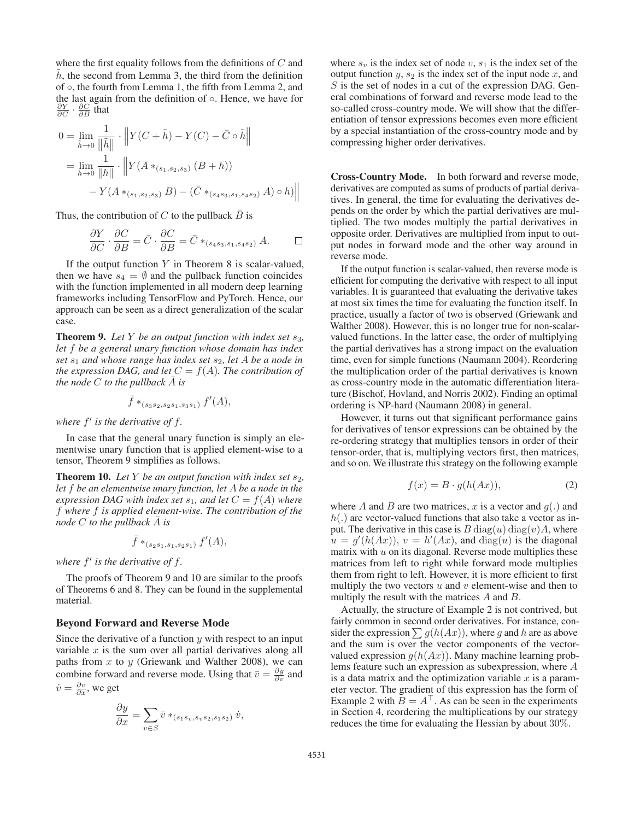where the first equality follows from the definitions of  $C$  and  $h$ , the second from Lemma 3, the third from the definition of ◦, the fourth from Lemma 1, the fifth from Lemma 2, and the last again from the definition of ◦. Hence, we have for  $\frac{\partial Y}{\partial C} \cdot \frac{\partial C}{\partial B}$  that

$$
0 = \lim_{\tilde{h}\to 0} \frac{1}{\|\tilde{h}\|} \cdot \left\| Y(C + \tilde{h}) - Y(C) - \bar{C} \circ \tilde{h} \right\|
$$
  
= 
$$
\lim_{h\to 0} \frac{1}{\|h\|} \cdot \left\| Y(A *_{(s_1, s_2, s_3)} (B + h)) - Y(A *_{(s_1, s_2, s_3)} B) - (\bar{C} *_{(s_4 s_3, s_1, s_4 s_2)} A) \circ h) \right\|
$$

Thus, the contribution of C to the pullback  $\overline{B}$  is

$$
\frac{\partial Y}{\partial C} \cdot \frac{\partial C}{\partial B} = \bar{C} \cdot \frac{\partial C}{\partial B} = \bar{C} *_{(s_4 s_3, s_1, s_4 s_2)} A. \qquad \Box
$$

If the output function Y in Theorem 8 is scalar-valued,<br>en we have  $s_4 = \emptyset$  and the pullback function coincides then we have  $s_4 = \emptyset$  and the pullback function coincides with the function implemented in all modern deep learning frameworks including TensorFlow and PyTorch. Hence, our approach can be seen as a direct generalization of the scalar case.

**Theorem 9.** Let Y be an output function with index set  $s_3$ , *let* f *be a general unary function whose domain has index set*  $s_1$  *and whose range has index set*  $s_2$ *, let A be a node in the expression DAG, and let*  $C = f(A)$ *. The contribution of the node*  $C$  *to the pullback*  $\overline{A}$  *is* 

$$
\bar{f} *_{(s_3s_2, s_2s_1, s_3s_1)} f'(A),
$$

*where*  $f'$  *is the derivative of*  $f$ *.* 

In case that the general unary function is simply an elementwise unary function that is applied element-wise to a tensor, Theorem 9 simplifies as follows.

**Theorem 10.** Let Y be an output function with index set  $s_2$ , *let* f *be an elementwise unary function, let* A *be a node in the expression DAG with index set*  $s_1$ *, and let*  $C = f(A)$  *where* f *where* f *is applied element-wise. The contribution of the node*  $C$  *to the pullback*  $\overline{A}$  *is* 

$$
\bar{f} *_{(s_2s_1,s_1,s_2s_1)} f'(A),
$$

*where*  $f'$  *is the derivative of f.* 

The proofs of Theorem 9 and 10 are similar to the proofs of Theorems 6 and 8. They can be found in the supplemental material.

#### Beyond Forward and Reverse Mode

Since the derivative of a function  $y$  with respect to an input variable  $x$  is the sum over all partial derivatives along all paths from  $x$  to  $y$  (Griewank and Walther 2008), we can combine forward and reverse mode. Using that  $\bar{v} = \frac{\partial y}{\partial v}$  and  $\dot{\phi} = \frac{\partial v}{\partial v}$  and  $\dot{v} = \frac{\partial v}{\partial x}$ , we get

$$
\frac{\partial y}{\partial x} = \sum_{v \in S} \bar{v} *_{(s_1s_v, s_v s_2, s_1 s_2)} \dot{v},
$$

where  $s_v$  is the index set of node  $v$ ,  $s_1$  is the index set of the output function  $y$ ,  $s_2$  is the index set of the input node  $x$ , and  $S$  is the set of nodes in a cut of the expression DAG. General combinations of forward and reverse mode lead to the so-called cross-country mode. We will show that the differentiation of tensor expressions becomes even more efficient by a special instantiation of the cross-country mode and by compressing higher order derivatives.

Cross-Country Mode. In both forward and reverse mode, derivatives are computed as sums of products of partial derivatives. In general, the time for evaluating the derivatives depends on the order by which the partial derivatives are multiplied. The two modes multiply the partial derivatives in opposite order. Derivatives are multiplied from input to output nodes in forward mode and the other way around in reverse mode.

If the output function is scalar-valued, then reverse mode is efficient for computing the derivative with respect to all input variables. It is guaranteed that evaluating the derivative takes at most six times the time for evaluating the function itself. In practice, usually a factor of two is observed (Griewank and Walther 2008). However, this is no longer true for non-scalarvalued functions. In the latter case, the order of multiplying the partial derivatives has a strong impact on the evaluation time, even for simple functions (Naumann 2004). Reordering the multiplication order of the partial derivatives is known as cross-country mode in the automatic differentiation literature (Bischof, Hovland, and Norris 2002). Finding an optimal ordering is NP-hard (Naumann 2008) in general.

However, it turns out that significant performance gains for derivatives of tensor expressions can be obtained by the re-ordering strategy that multiplies tensors in order of their tensor-order, that is, multiplying vectors first, then matrices, and so on. We illustrate this strategy on the following example

$$
f(x) = B \cdot g(h(Ax)), \tag{2}
$$

where A and B are two matrices, x is a vector and  $g(.)$  and  $h(.)$  are vector-valued functions that also take a vector as input. The derivative in this case is  $B \text{ diag}(u) \text{ diag}(v)A$ , where  $u = g'(h(Ax))$ ,  $v = h'(Ax)$ , and  $diag(u)$  is the diagonal matrix with u on its diagonal Reverse mode multiplies these matrix with  $u$  on its diagonal. Reverse mode multiplies these matrices from left to right while forward mode multiplies them from right to left. However, it is more efficient to first multiply the two vectors  $u$  and  $v$  element-wise and then to multiply the result with the matrices A and B.

Actually, the structure of Example 2 is not contrived, but fairly common in second order derivatives. For instance, consider the expression  $\sum g(h(Ax))$ , where g and h are as above and the sum is over the vector components of the vectorvalued expression  $g(h(Ax))$ . Many machine learning problems feature such an expression as subexpression, where A is a data matrix and the optimization variable  $x$  is a parameter vector. The gradient of this expression has the form of Example 2 with  $B = A^{\dagger}$ . As can be seen in the experiments<br>in Section 4, reordering the multiplications by our strategy in Section 4, reordering the multiplications by our strategy reduces the time for evaluating the Hessian by about 30%.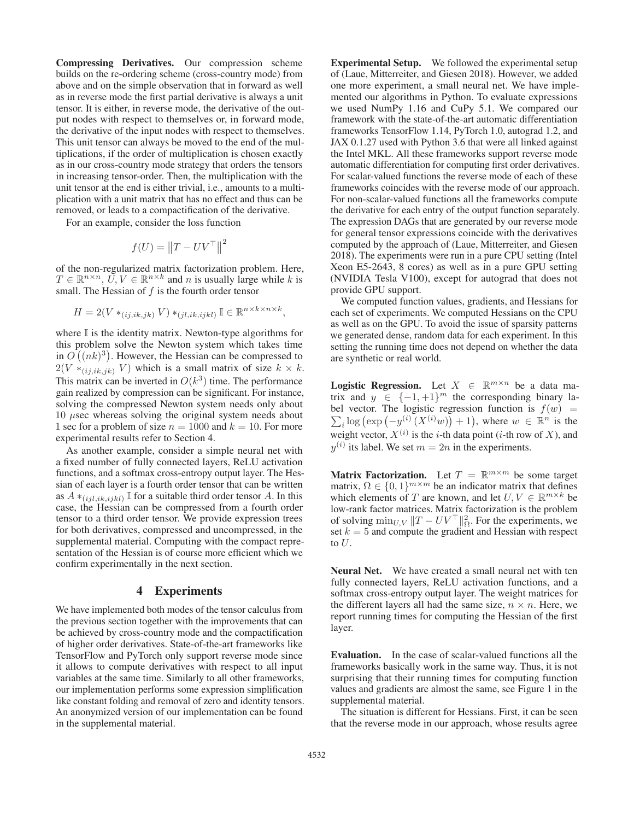Compressing Derivatives. Our compression scheme builds on the re-ordering scheme (cross-country mode) from above and on the simple observation that in forward as well as in reverse mode the first partial derivative is always a unit tensor. It is either, in reverse mode, the derivative of the output nodes with respect to themselves or, in forward mode, the derivative of the input nodes with respect to themselves. This unit tensor can always be moved to the end of the multiplications, if the order of multiplication is chosen exactly as in our cross-country mode strategy that orders the tensors in increasing tensor-order. Then, the multiplication with the unit tensor at the end is either trivial, i.e., amounts to a multiplication with a unit matrix that has no effect and thus can be removed, or leads to a compactification of the derivative.

For an example, consider the loss function

$$
f(U) = ||T - UV^{\top}||^2
$$

of the non-regularized matrix factorization problem. Here,  $T \in \mathbb{R}^{n \times n}$ ,  $\overline{U}$ ,  $V \in \mathbb{R}^{n \times k}$  and n is usually large while k is small. The Hessian of  $f$  is the fourth order tensor

$$
H = 2(V *_{(ij,ik,jk)} V) *_{(jl,ik,ijkl)} \mathbb{I} \in \mathbb{R}^{n \times k \times n \times k},
$$

where  $\mathbb I$  is the identity matrix. Newton-type algorithms for this problem solve the Newton system which takes time in  $O((nk)^3)$ . However, the Hessian can be compressed to  $2(N, * \omega, \omega, V)$  which is a small matrix of size  $k \times k$  $2(V *_{(i,j,k,jk)} V)$  which is a small matrix of size  $k \times k$ . This matrix can be inverted in  $O(k^3)$  time. The performance gain realized by compression can be significant. For instance, solving the compressed Newton system needs only about  $10 \mu$ sec whereas solving the original system needs about 1 sec for a problem of size  $n = 1000$  and  $k = 10$ . For more experimental results refer to Section 4.

As another example, consider a simple neural net with a fixed number of fully connected layers, ReLU activation functions, and a softmax cross-entropy output layer. The Hessian of each layer is a fourth order tensor that can be written as  $A *_{(i, i, j, k, i, j, k)} \mathbb{I}$  for a suitable third order tensor A. In this case, the Hessian can be compressed from a fourth order tensor to a third order tensor. We provide expression trees for both derivatives, compressed and uncompressed, in the supplemental material. Computing with the compact representation of the Hessian is of course more efficient which we confirm experimentally in the next section.

### 4 Experiments

We have implemented both modes of the tensor calculus from the previous section together with the improvements that can be achieved by cross-country mode and the compactification of higher order derivatives. State-of-the-art frameworks like TensorFlow and PyTorch only support reverse mode since it allows to compute derivatives with respect to all input variables at the same time. Similarly to all other frameworks, our implementation performs some expression simplification like constant folding and removal of zero and identity tensors. An anonymized version of our implementation can be found in the supplemental material.

Experimental Setup. We followed the experimental setup of (Laue, Mitterreiter, and Giesen 2018). However, we added one more experiment, a small neural net. We have implemented our algorithms in Python. To evaluate expressions we used NumPy 1.16 and CuPy 5.1. We compared our framework with the state-of-the-art automatic differentiation frameworks TensorFlow 1.14, PyTorch 1.0, autograd 1.2, and JAX 0.1.27 used with Python 3.6 that were all linked against the Intel MKL. All these frameworks support reverse mode automatic differentiation for computing first order derivatives. For scalar-valued functions the reverse mode of each of these frameworks coincides with the reverse mode of our approach. For non-scalar-valued functions all the frameworks compute the derivative for each entry of the output function separately. The expression DAGs that are generated by our reverse mode for general tensor expressions coincide with the derivatives computed by the approach of (Laue, Mitterreiter, and Giesen 2018). The experiments were run in a pure CPU setting (Intel Xeon E5-2643, 8 cores) as well as in a pure GPU setting (NVIDIA Tesla V100), except for autograd that does not provide GPU support.

We computed function values, gradients, and Hessians for each set of experiments. We computed Hessians on the CPU as well as on the GPU. To avoid the issue of sparsity patterns we generated dense, random data for each experiment. In this setting the running time does not depend on whether the data are synthetic or real world.

Logistic Regression. Let  $X \in \mathbb{R}^{m \times n}$  be a data matrix and  $y \in \{-1, +1\}^m$  the corresponding binary label vector. The logistic regression function is  $f(w) = \sum \log (\exp(-y_i^{(i)}(X^{(i)}w)) + 1)$  where  $w \in \mathbb{R}^n$  is the  $\sum_i \log \left( \exp \left( -y^{(i)} \left( X^{(i)} w \right) \right) + 1 \right)$ , where  $w \in \mathbb{R}^n$  is the window with the sum of X) and weight vector,  $X^{(i)}$  is the *i*-th data point (*i*-th row of X), and  $y^{(i)}$  its label. We set  $m = 2n$  in the experiments.

**Matrix Factorization.** Let  $T = \mathbb{R}^{m \times m}$  be some target matrix,  $\Omega \in \{0,1\}^{m \times m}$  be an indicator matrix that defines which elements of T are known, and let  $U, V \in \mathbb{R}^{m \times k}$  be low-rank factor matrices. Matrix factorization is the problem of solving  $\min_{U,V} ||T - UV^{\top}||_{\Omega}^2$ . For the experiments, we set  $k = 5$  and compute the gradient and Hessian with respect set  $k = 5$  and compute the gradient and Hessian with respect to  $U$ .

Neural Net. We have created a small neural net with ten fully connected layers, ReLU activation functions, and a softmax cross-entropy output layer. The weight matrices for the different layers all had the same size,  $n \times n$ . Here, we report running times for computing the Hessian of the first layer.

Evaluation. In the case of scalar-valued functions all the frameworks basically work in the same way. Thus, it is not surprising that their running times for computing function values and gradients are almost the same, see Figure 1 in the supplemental material.

The situation is different for Hessians. First, it can be seen that the reverse mode in our approach, whose results agree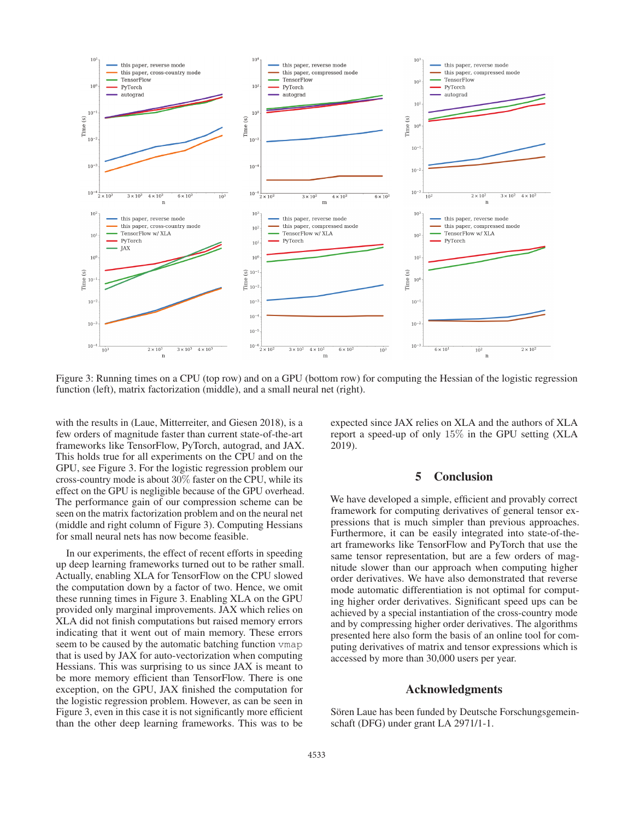

Figure 3: Running times on a CPU (top row) and on a GPU (bottom row) for computing the Hessian of the logistic regression function (left), matrix factorization (middle), and a small neural net (right).

with the results in (Laue, Mitterreiter, and Giesen 2018), is a few orders of magnitude faster than current state-of-the-art frameworks like TensorFlow, PyTorch, autograd, and JAX. This holds true for all experiments on the CPU and on the GPU, see Figure 3. For the logistic regression problem our cross-country mode is about 30% faster on the CPU, while its effect on the GPU is negligible because of the GPU overhead. The performance gain of our compression scheme can be seen on the matrix factorization problem and on the neural net (middle and right column of Figure 3). Computing Hessians for small neural nets has now become feasible.

In our experiments, the effect of recent efforts in speeding up deep learning frameworks turned out to be rather small. Actually, enabling XLA for TensorFlow on the CPU slowed the computation down by a factor of two. Hence, we omit these running times in Figure 3. Enabling XLA on the GPU provided only marginal improvements. JAX which relies on XLA did not finish computations but raised memory errors indicating that it went out of main memory. These errors seem to be caused by the automatic batching function vmap that is used by JAX for auto-vectorization when computing Hessians. This was surprising to us since JAX is meant to be more memory efficient than TensorFlow. There is one exception, on the GPU, JAX finished the computation for the logistic regression problem. However, as can be seen in Figure 3, even in this case it is not significantly more efficient than the other deep learning frameworks. This was to be

expected since JAX relies on XLA and the authors of XLA report a speed-up of only 15% in the GPU setting (XLA 2019).

# 5 Conclusion

We have developed a simple, efficient and provably correct framework for computing derivatives of general tensor expressions that is much simpler than previous approaches. Furthermore, it can be easily integrated into state-of-theart frameworks like TensorFlow and PyTorch that use the same tensor representation, but are a few orders of magnitude slower than our approach when computing higher order derivatives. We have also demonstrated that reverse mode automatic differentiation is not optimal for computing higher order derivatives. Significant speed ups can be achieved by a special instantiation of the cross-country mode and by compressing higher order derivatives. The algorithms presented here also form the basis of an online tool for computing derivatives of matrix and tensor expressions which is accessed by more than 30,000 users per year.

#### Acknowledgments

Sören Laue has been funded by Deutsche Forschungsgemeinschaft (DFG) under grant LA 2971/1-1.